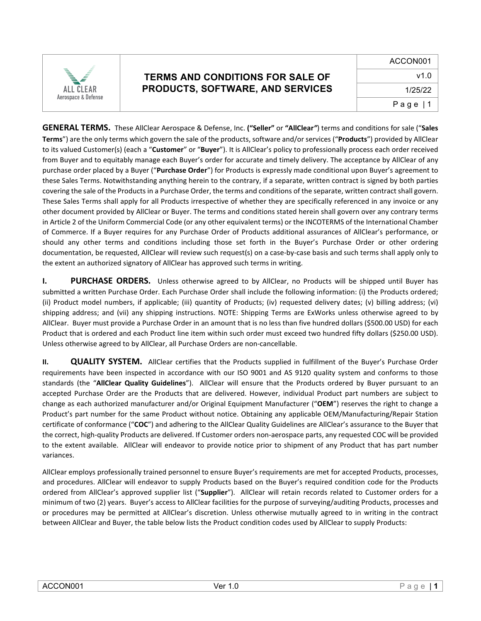

**GENERAL TERMS.** These AllClear Aerospace & Defense, Inc. **("Seller"** or **"AllClear***"*) terms and conditions for sale ("**Sales Terms**") are the only terms which govern the sale of the products, software and/or services ("**Products**") provided by AllClear to its valued Customer(s) (each a "**Customer**" or "**Buyer**"). It is AllClear's policy to professionally process each order received from Buyer and to equitably manage each Buyer's order for accurate and timely delivery. The acceptance by AllClear of any purchase order placed by a Buyer ("**Purchase Order**") for Products is expressly made conditional upon Buyer's agreement to these Sales Terms. Notwithstanding anything herein to the contrary, if a separate, written contract is signed by both parties covering the sale of the Products in a Purchase Order, the terms and conditions of the separate, written contract shall govern. These Sales Terms shall apply for all Products irrespective of whether they are specifically referenced in any invoice or any other document provided by AllClear or Buyer. The terms and conditions stated herein shall govern over any contrary terms in Article 2 of the Uniform Commercial Code (or any other equivalent terms) or the INCOTERMS of the International Chamber of Commerce. If a Buyer requires for any Purchase Order of Products additional assurances of AllClear's performance, or should any other terms and conditions including those set forth in the Buyer's Purchase Order or other ordering documentation, be requested, AllClear will review such request(s) on a case-by-case basis and such terms shall apply only to the extent an authorized signatory of AllClear has approved such terms in writing.

**I. PURCHASE ORDERS.** Unless otherwise agreed to by AllClear, no Products will be shipped until Buyer has submitted a written Purchase Order. Each Purchase Order shall include the following information: (i) the Products ordered; (ii) Product model numbers, if applicable; (iii) quantity of Products; (iv) requested delivery dates; (v) billing address; (vi) shipping address; and (vii) any shipping instructions. NOTE: Shipping Terms are ExWorks unless otherwise agreed to by AllClear. Buyer must provide a Purchase Order in an amount that is no less than five hundred dollars (\$500.00 USD) for each Product that is ordered and each Product line item within such order must exceed two hundred fifty dollars (\$250.00 USD). Unless otherwise agreed to by AllClear, all Purchase Orders are non-cancellable.

**II. QUALITY SYSTEM.** AllClear certifies that the Products supplied in fulfillment of the Buyer's Purchase Order requirements have been inspected in accordance with our ISO 9001 and AS 9120 quality system and conforms to those standards (the "**AllClear Quality Guidelines**"). AllClear will ensure that the Products ordered by Buyer pursuant to an accepted Purchase Order are the Products that are delivered. However, individual Product part numbers are subject to change as each authorized manufacturer and/or Original Equipment Manufacturer ("**OEM**") reserves the right to change a Product's part number for the same Product without notice. Obtaining any applicable OEM/Manufacturing/Repair Station certificate of conformance ("**COC**") and adhering to the AllClear Quality Guidelines are AllClear's assurance to the Buyer that the correct, high-quality Products are delivered. If Customer orders non-aerospace parts, any requested COC will be provided to the extent available. AllClear will endeavor to provide notice prior to shipment of any Product that has part number variances.

AllClear employs professionally trained personnel to ensure Buyer's requirements are met for accepted Products, processes, and procedures. AllClear will endeavor to supply Products based on the Buyer's required condition code for the Products ordered from AllClear's approved supplier list ("**Supplier**"). AllClear will retain records related to Customer orders for a minimum of two (2) years. Buyer's access to AllClear facilities for the purpose of surveying/auditing Products, processes and or procedures may be permitted at AllClear's discretion. Unless otherwise mutually agreed to in writing in the contract between AllClear and Buyer, the table below lists the Product condition codes used by AllClear to supply Products: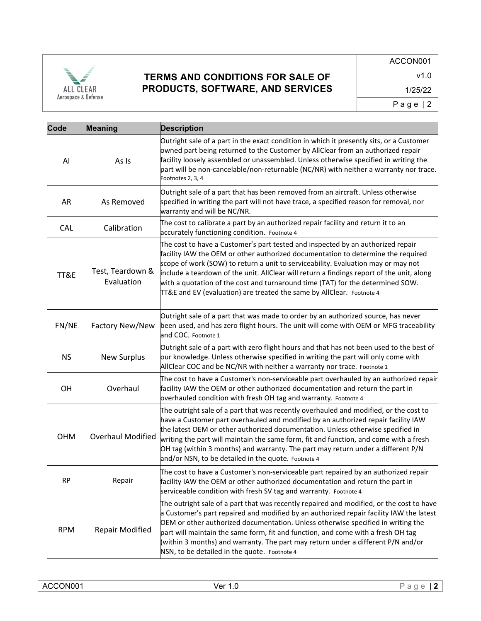

| Code       | <b>Meaning</b>                 | <b>Description</b>                                                                                                                                                                                                                                                                                                                                                                                                                                                                                               |
|------------|--------------------------------|------------------------------------------------------------------------------------------------------------------------------------------------------------------------------------------------------------------------------------------------------------------------------------------------------------------------------------------------------------------------------------------------------------------------------------------------------------------------------------------------------------------|
| AI         | As Is                          | Outright sale of a part in the exact condition in which it presently sits, or a Customer<br>owned part being returned to the Customer by AllClear from an authorized repair<br>facility loosely assembled or unassembled. Unless otherwise specified in writing the<br>part will be non-cancelable/non-returnable (NC/NR) with neither a warranty nor trace.<br>Footnotes 2, 3, 4                                                                                                                                |
| AR         | As Removed                     | Outright sale of a part that has been removed from an aircraft. Unless otherwise<br>specified in writing the part will not have trace, a specified reason for removal, nor<br>warranty and will be NC/NR.                                                                                                                                                                                                                                                                                                        |
| <b>CAL</b> | Calibration                    | The cost to calibrate a part by an authorized repair facility and return it to an<br>accurately functioning condition. Footnote 4                                                                                                                                                                                                                                                                                                                                                                                |
| TT&E       | Test, Teardown &<br>Evaluation | The cost to have a Customer's part tested and inspected by an authorized repair<br>facility IAW the OEM or other authorized documentation to determine the required<br>scope of work (SOW) to return a unit to serviceability. Evaluation may or may not<br>include a teardown of the unit. AllClear will return a findings report of the unit, along<br>with a quotation of the cost and turnaround time (TAT) for the determined SOW.<br>TT&E and EV (evaluation) are treated the same by AllClear. Footnote 4 |
| FN/NE      | Factory New/New                | Outright sale of a part that was made to order by an authorized source, has never<br>been used, and has zero flight hours. The unit will come with OEM or MFG traceability<br>and COC. Footnote 1                                                                                                                                                                                                                                                                                                                |
| <b>NS</b>  | <b>New Surplus</b>             | Outright sale of a part with zero flight hours and that has not been used to the best of<br>our knowledge. Unless otherwise specified in writing the part will only come with<br>AllClear COC and be NC/NR with neither a warranty nor trace. Footnote 1                                                                                                                                                                                                                                                         |
| OH         | Overhaul                       | The cost to have a Customer's non-serviceable part overhauled by an authorized repair<br>facility IAW the OEM or other authorized documentation and return the part in<br>overhauled condition with fresh OH tag and warranty. Footnote 4                                                                                                                                                                                                                                                                        |
| <b>OHM</b> | <b>Overhaul Modified</b>       | The outright sale of a part that was recently overhauled and modified, or the cost to<br>have a Customer part overhauled and modified by an authorized repair facility IAW<br>the latest OEM or other authorized documentation. Unless otherwise specified in<br>writing the part will maintain the same form, fit and function, and come with a fresh<br>OH tag (within 3 months) and warranty. The part may return under a different P/N<br>and/or NSN, to be detailed in the quote. Footnote 4                |
| <b>RP</b>  | Repair                         | The cost to have a Customer's non-serviceable part repaired by an authorized repair<br>facility IAW the OEM or other authorized documentation and return the part in<br>serviceable condition with fresh SV tag and warranty. Footnote 4                                                                                                                                                                                                                                                                         |
| <b>RPM</b> | Repair Modified                | The outright sale of a part that was recently repaired and modified, or the cost to have<br>a Customer's part repaired and modified by an authorized repair facility IAW the latest<br>OEM or other authorized documentation. Unless otherwise specified in writing the<br>part will maintain the same form, fit and function, and come with a fresh OH tag<br>(within 3 months) and warranty. The part may return under a different P/N and/or<br>NSN, to be detailed in the quote. Footnote 4                  |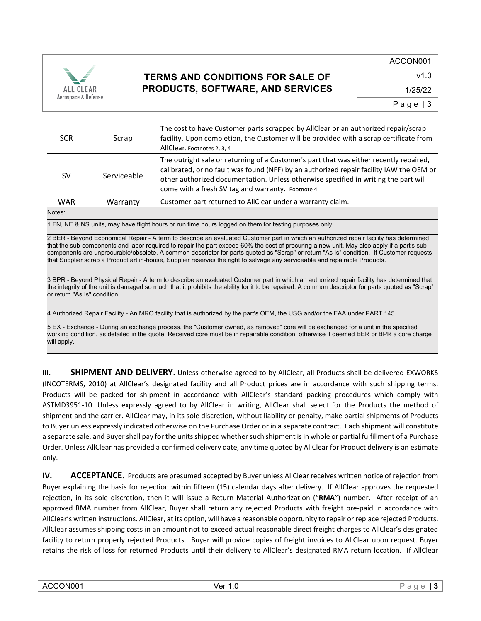

| <b>SCR</b> | Scrap       | The cost to have Customer parts scrapped by AllClear or an authorized repair/scrap<br>facility. Upon completion, the Customer will be provided with a scrap certificate from<br>AllClear. Footnotes 2, 3, 4                                                                                                                   |
|------------|-------------|-------------------------------------------------------------------------------------------------------------------------------------------------------------------------------------------------------------------------------------------------------------------------------------------------------------------------------|
| <b>SV</b>  | Serviceable | The outright sale or returning of a Customer's part that was either recently repaired,<br>calibrated, or no fault was found (NFF) by an authorized repair facility IAW the OEM or<br>other authorized documentation. Unless otherwise specified in writing the part will<br>come with a fresh SV tag and warranty. Footnote 4 |
| <b>WAR</b> | Warranty    | Customer part returned to AllClear under a warranty claim.                                                                                                                                                                                                                                                                    |
| Notes:     |             |                                                                                                                                                                                                                                                                                                                               |

1 FN, NE & NS units, may have flight hours or run time hours logged on them for testing purposes only.

2 BER - Beyond Economical Repair - A term to describe an evaluated Customer part in which an authorized repair facility has determined that the sub-components and labor required to repair the part exceed 60% the cost of procuring a new unit. May also apply if a part's subcomponents are unprocurable/obsolete. A common descriptor for parts quoted as "Scrap" or return "As Is" condition. If Customer requests that Supplier scrap a Product art in-house, Supplier reserves the right to salvage any serviceable and repairable Products.

3 BPR - Beyond Physical Repair - A term to describe an evaluated Customer part in which an authorized repair facility has determined that the integrity of the unit is damaged so much that it prohibits the ability for it to be repaired. A common descriptor for parts quoted as "Scrap" or return "As Is" condition.

4 Authorized Repair Facility - An MRO facility that is authorized by the part's OEM, the USG and/or the FAA under PART 145.

5 EX - Exchange - During an exchange process, the "Customer owned, as removed" core will be exchanged for a unit in the specified working condition, as detailed in the quote. Received core must be in repairable condition, otherwise if deemed BER or BPR a core charge will apply.

**III. SHIPMENT AND DELIVERY**. Unless otherwise agreed to by AllClear, all Products shall be delivered EXWORKS (INCOTERMS, 2010) at AllClear's designated facility and all Product prices are in accordance with such shipping terms. Products will be packed for shipment in accordance with AllClear's standard packing procedures which comply with ASTMD3951-10. Unless expressly agreed to by AllClear in writing, AllClear shall select for the Products the method of shipment and the carrier. AllClear may, in its sole discretion, without liability or penalty, make partial shipments of Products to Buyer unless expressly indicated otherwise on the Purchase Order or in a separate contract. Each shipment will constitute a separate sale, and Buyer shall pay for the units shipped whether such shipment is in whole or partial fulfillment of a Purchase Order. Unless AllClear has provided a confirmed delivery date, any time quoted by AllClear for Product delivery is an estimate only.

**IV. ACCEPTANCE**. Products are presumed accepted by Buyer unless AllClear receives written notice of rejection from Buyer explaining the basis for rejection within fifteen (15) calendar days after delivery. If AllClear approves the requested rejection, in its sole discretion, then it will issue a Return Material Authorization ("**RMA**") number. After receipt of an approved RMA number from AllClear, Buyer shall return any rejected Products with freight pre-paid in accordance with AllClear's written instructions. AllClear, at its option, will have a reasonable opportunity to repair or replace rejected Products. AllClear assumes shipping costs in an amount not to exceed actual reasonable direct freight charges to AllClear's designated facility to return properly rejected Products. Buyer will provide copies of freight invoices to AllClear upon request. Buyer retains the risk of loss for returned Products until their delivery to AllClear's designated RMA return location. If AllClear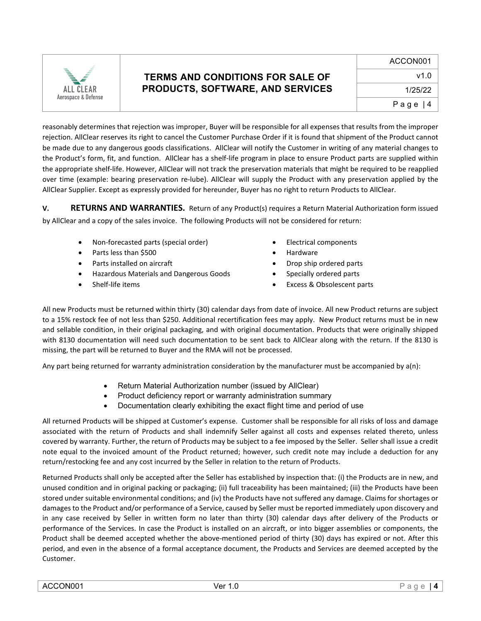

reasonably determines that rejection was improper, Buyer will be responsible for all expenses that results from the improper rejection. AllClear reserves its right to cancel the Customer Purchase Order if it is found that shipment of the Product cannot be made due to any dangerous goods classifications. AllClear will notify the Customer in writing of any material changes to the Product's form, fit, and function. AllClear has a shelf-life program in place to ensure Product parts are supplied within the appropriate shelf-life. However, AllClear will not track the preservation materials that might be required to be reapplied over time (example: bearing preservation re-lube). AllClear will supply the Product with any preservation applied by the AllClear Supplier. Except as expressly provided for hereunder, Buyer has no right to return Products to AllClear.

**V. RETURNS AND WARRANTIES.** Return of any Product(s) requires a Return Material Authorization form issued by AllClear and a copy of the sales invoice. The following Products will not be considered for return:

- Non-forecasted parts (special order) Electrical components
- Parts less than \$500 **Figure 1** and the Hardware
- 
- Hazardous Materials and Dangerous Goods Specially ordered parts
- 
- 
- 
- Parts installed on aircraft **•** Drop ship ordered parts
	-
- Shelf-life items Excess & Obsolescent parts

All new Products must be returned within thirty (30) calendar days from date of invoice. All new Product returns are subject to a 15% restock fee of not less than \$250. Additional recertification fees may apply. New Product returns must be in new and sellable condition, in their original packaging, and with original documentation. Products that were originally shipped with 8130 documentation will need such documentation to be sent back to AllClear along with the return. If the 8130 is missing, the part will be returned to Buyer and the RMA will not be processed.

Any part being returned for warranty administration consideration by the manufacturer must be accompanied by a(n):

- Return Material Authorization number (issued by AllClear)
- Product deficiency report or warranty administration summary
- Documentation clearly exhibiting the exact flight time and period of use

All returned Products will be shipped at Customer's expense. Customer shall be responsible for all risks of loss and damage associated with the return of Products and shall indemnify Seller against all costs and expenses related thereto, unless covered by warranty. Further, the return of Products may be subject to a fee imposed by the Seller. Seller shall issue a credit note equal to the invoiced amount of the Product returned; however, such credit note may include a deduction for any return/restocking fee and any cost incurred by the Seller in relation to the return of Products.

Returned Products shall only be accepted after the Seller has established by inspection that: (i) the Products are in new, and unused condition and in original packing or packaging; (ii) full traceability has been maintained; (iii) the Products have been stored under suitable environmental conditions; and (iv) the Products have not suffered any damage. Claims for shortages or damages to the Product and/or performance of a Service, caused by Seller must be reported immediately upon discovery and in any case received by Seller in written form no later than thirty (30) calendar days after delivery of the Products or performance of the Services. In case the Product is installed on an aircraft, or into bigger assemblies or components, the Product shall be deemed accepted whether the above-mentioned period of thirty (30) days has expired or not. After this period, and even in the absence of a formal acceptance document, the Products and Services are deemed accepted by the Customer.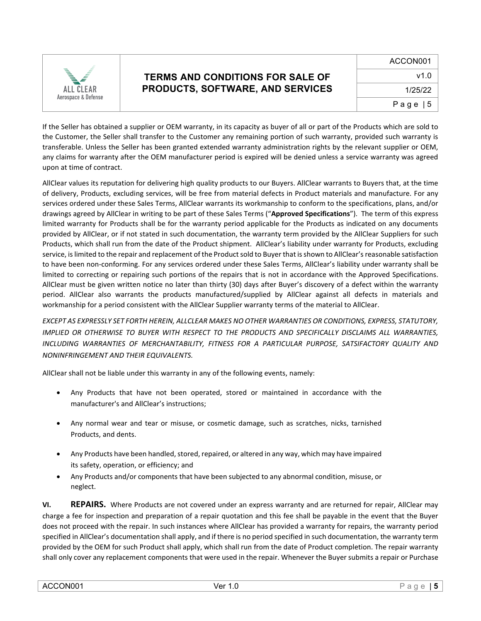

If the Seller has obtained a supplier or OEM warranty, in its capacity as buyer of all or part of the Products which are sold to the Customer, the Seller shall transfer to the Customer any remaining portion of such warranty, provided such warranty is transferable. Unless the Seller has been granted extended warranty administration rights by the relevant supplier or OEM, any claims for warranty after the OEM manufacturer period is expired will be denied unless a service warranty was agreed upon at time of contract.

AllClear values its reputation for delivering high quality products to our Buyers. AllClear warrants to Buyers that, at the time of delivery, Products, excluding services, will be free from material defects in Product materials and manufacture. For any services ordered under these Sales Terms, AllClear warrants its workmanship to conform to the specifications, plans, and/or drawings agreed by AllClear in writing to be part of these Sales Terms ("**Approved Specifications**"). The term of this express limited warranty for Products shall be for the warranty period applicable for the Products as indicated on any documents provided by AllClear, or if not stated in such documentation, the warranty term provided by the AllClear Suppliers for such Products, which shall run from the date of the Product shipment. AllClear's liability under warranty for Products, excluding service, is limited to the repair and replacement of the Product sold to Buyer that is shown to AllClear's reasonable satisfaction to have been non-conforming. For any services ordered under these Sales Terms, AllClear's liability under warranty shall be limited to correcting or repairing such portions of the repairs that is not in accordance with the Approved Specifications. AllClear must be given written notice no later than thirty (30) days after Buyer's discovery of a defect within the warranty period. AllClear also warrants the products manufactured/supplied by AllClear against all defects in materials and workmanship for a period consistent with the AllClear Supplier warranty terms of the material to AllClear.

*EXCEPT AS EXPRESSLY SET FORTH HEREIN, ALLCLEAR MAKES NO OTHER WARRANTIES OR CONDITIONS, EXPRESS, STATUTORY, IMPLIED OR OTHERWISE TO BUYER WITH RESPECT TO THE PRODUCTS AND SPECIFICALLY DISCLAIMS ALL WARRANTIES, INCLUDING WARRANTIES OF MERCHANTABILITY, FITNESS FOR A PARTICULAR PURPOSE, SATSIFACTORY QUALITY AND NONINFRINGEMENT AND THEIR EQUIVALENTS.*

AllClear shall not be liable under this warranty in any of the following events, namely:

- Any Products that have not been operated, stored or maintained in accordance with the manufacturer's and AllClear's instructions;
- Any normal wear and tear or misuse, or cosmetic damage, such as scratches, nicks, tarnished Products, and dents.
- Any Products have been handled, stored, repaired, or altered in any way, which may have impaired its safety, operation, or efficiency; and
- Any Products and/or components that have been subjected to any abnormal condition, misuse, or neglect.

**VI. REPAIRS.** Where Products are not covered under an express warranty and are returned for repair, AllClear may charge a fee for inspection and preparation of a repair quotation and this fee shall be payable in the event that the Buyer does not proceed with the repair. In such instances where AllClear has provided a warranty for repairs, the warranty period specified in AllClear's documentation shall apply, and if there is no period specified in such documentation, the warranty term provided by the OEM for such Product shall apply, which shall run from the date of Product completion. The repair warranty shall only cover any replacement components that were used in the repair. Whenever the Buyer submits a repair or Purchase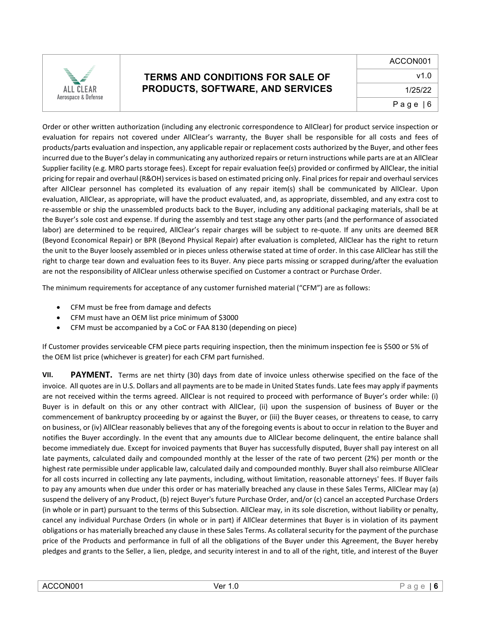

Order or other written authorization (including any electronic correspondence to AllClear) for product service inspection or evaluation for repairs not covered under AllClear's warranty, the Buyer shall be responsible for all costs and fees of products/parts evaluation and inspection, any applicable repair or replacement costs authorized by the Buyer, and other fees incurred due to the Buyer's delay in communicating any authorized repairs or return instructions while parts are at an AllClear Supplier facility (e.g. MRO parts storage fees). Except for repair evaluation fee(s) provided or confirmed by AllClear, the initial pricing for repair and overhaul (R&OH) services is based on estimated pricing only. Final prices for repair and overhaul services after AllClear personnel has completed its evaluation of any repair item(s) shall be communicated by AllClear. Upon evaluation, AllClear, as appropriate, will have the product evaluated, and, as appropriate, dissembled, and any extra cost to re-assemble or ship the unassembled products back to the Buyer, including any additional packaging materials, shall be at the Buyer's sole cost and expense. If during the assembly and test stage any other parts (and the performance of associated labor) are determined to be required, AllClear's repair charges will be subject to re-quote. If any units are deemed BER (Beyond Economical Repair) or BPR (Beyond Physical Repair) after evaluation is completed, AllClear has the right to return the unit to the Buyer loosely assembled or in pieces unless otherwise stated at time of order. In this case AllClear has still the right to charge tear down and evaluation fees to its Buyer. Any piece parts missing or scrapped during/after the evaluation are not the responsibility of AllClear unless otherwise specified on Customer a contract or Purchase Order.

The minimum requirements for acceptance of any customer furnished material ("CFM") are as follows:

- CFM must be free from damage and defects
- CFM must have an OEM list price minimum of \$3000
- CFM must be accompanied by a CoC or FAA 8130 (depending on piece)

If Customer provides serviceable CFM piece parts requiring inspection, then the minimum inspection fee is \$500 or 5% of the OEM list price (whichever is greater) for each CFM part furnished.

**VII. PAYMENT.** Terms are net thirty (30) days from date of invoice unless otherwise specified on the face of the invoice. All quotes are in U.S. Dollars and all payments are to be made in United States funds. Late fees may apply if payments are not received within the terms agreed. AllClear is not required to proceed with performance of Buyer's order while: (i) Buyer is in default on this or any other contract with AllClear, (ii) upon the suspension of business of Buyer or the commencement of bankruptcy proceeding by or against the Buyer, or (iii) the Buyer ceases, or threatens to cease, to carry on business, or (iv) AllClear reasonably believes that any of the foregoing events is about to occur in relation to the Buyer and notifies the Buyer accordingly. In the event that any amounts due to AllClear become delinquent, the entire balance shall become immediately due. Except for invoiced payments that Buyer has successfully disputed, Buyer shall pay interest on all late payments, calculated daily and compounded monthly at the lesser of the rate of two percent (2%) per month or the highest rate permissible under applicable law, calculated daily and compounded monthly. Buyer shall also reimburse AllClear for all costs incurred in collecting any late payments, including, without limitation, reasonable attorneys' fees. If Buyer fails to pay any amounts when due under this order or has materially breached any clause in these Sales Terms, AllClear may (a) suspend the delivery of any Product, (b) reject Buyer's future Purchase Order, and/or (c) cancel an accepted Purchase Orders (in whole or in part) pursuant to the terms of this Subsection. AllClear may, in its sole discretion, without liability or penalty, cancel any individual Purchase Orders (in whole or in part) if AllClear determines that Buyer is in violation of its payment obligations or has materially breached any clause in these Sales Terms. As collateral security for the payment of the purchase price of the Products and performance in full of all the obligations of the Buyer under this Agreement, the Buyer hereby pledges and grants to the Seller, a lien, pledge, and security interest in and to all of the right, title, and interest of the Buyer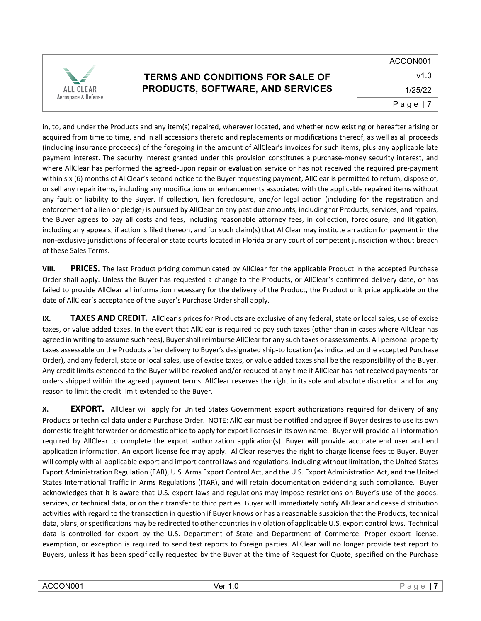

in, to, and under the Products and any item(s) repaired, wherever located, and whether now existing or hereafter arising or acquired from time to time, and in all accessions thereto and replacements or modifications thereof, as well as all proceeds (including insurance proceeds) of the foregoing in the amount of AllClear's invoices for such items, plus any applicable late payment interest. The security interest granted under this provision constitutes a purchase-money security interest, and where AllClear has performed the agreed-upon repair or evaluation service or has not received the required pre-payment within six (6) months of AllClear's second notice to the Buyer requesting payment, AllClear is permitted to return, dispose of, or sell any repair items, including any modifications or enhancements associated with the applicable repaired items without any fault or liability to the Buyer. If collection, lien foreclosure, and/or legal action (including for the registration and enforcement of a lien or pledge) is pursued by AllClear on any past due amounts, including for Products, services, and repairs, the Buyer agrees to pay all costs and fees, including reasonable attorney fees, in collection, foreclosure, and litigation, including any appeals, if action is filed thereon, and for such claim(s) that AllClear may institute an action for payment in the non-exclusive jurisdictions of federal or state courts located in Florida or any court of competent jurisdiction without breach of these Sales Terms.

**VIII. PRICES.** The last Product pricing communicated by AllClear for the applicable Product in the accepted Purchase Order shall apply. Unless the Buyer has requested a change to the Products, or AllClear's confirmed delivery date, or has failed to provide AllClear all information necessary for the delivery of the Product, the Product unit price applicable on the date of AllClear's acceptance of the Buyer's Purchase Order shall apply.

**IX. TAXES AND CREDIT.** AllClear's prices for Products are exclusive of any federal, state or local sales, use of excise taxes, or value added taxes. In the event that AllClear is required to pay such taxes (other than in cases where AllClear has agreed in writing to assume such fees), Buyer shall reimburse AllClear for any such taxes or assessments. All personal property taxes assessable on the Products after delivery to Buyer's designated ship-to location (as indicated on the accepted Purchase Order), and any federal, state or local sales, use of excise taxes, or value added taxes shall be the responsibility of the Buyer. Any credit limits extended to the Buyer will be revoked and/or reduced at any time if AllClear has not received payments for orders shipped within the agreed payment terms. AllClear reserves the right in its sole and absolute discretion and for any reason to limit the credit limit extended to the Buyer.

**X. EXPORT.** AllClear will apply for United States Government export authorizations required for delivery of any Products or technical data under a Purchase Order. NOTE: AllClear must be notified and agree if Buyer desires to use its own domestic freight forwarder or domestic office to apply for export licenses in its own name. Buyer will provide all information required by AllClear to complete the export authorization application(s). Buyer will provide accurate end user and end application information. An export license fee may apply. AllClear reserves the right to charge license fees to Buyer. Buyer will comply with all applicable export and import control laws and regulations, including without limitation, the United States Export Administration Regulation (EAR), U.S. Arms Export Control Act, and the U.S. Export Administration Act, and the United States International Traffic in Arms Regulations (ITAR), and will retain documentation evidencing such compliance. Buyer acknowledges that it is aware that U.S. export laws and regulations may impose restrictions on Buyer's use of the goods, services, or technical data, or on their transfer to third parties. Buyer will immediately notify AllClear and cease distribution activities with regard to the transaction in question if Buyer knows or has a reasonable suspicion that the Products, technical data, plans, or specifications may be redirected to other countries in violation of applicable U.S. export control laws. Technical data is controlled for export by the U.S. Department of State and Department of Commerce. Proper export license, exemption, or exception is required to send test reports to foreign parties. AllClear will no longer provide test report to Buyers, unless it has been specifically requested by the Buyer at the time of Request for Quote, specified on the Purchase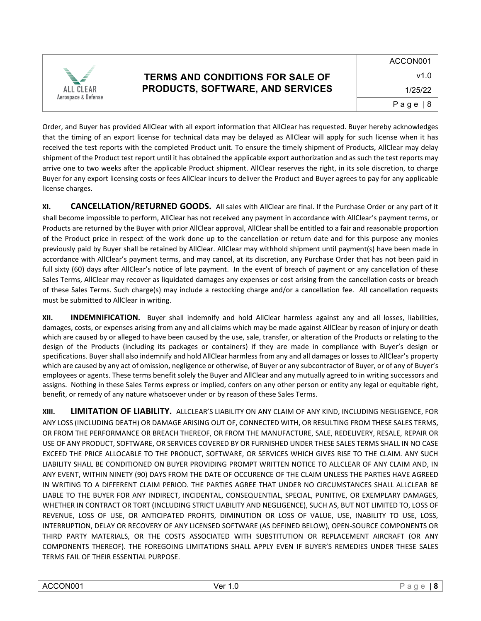

Order, and Buyer has provided AllClear with all export information that AllClear has requested. Buyer hereby acknowledges that the timing of an export license for technical data may be delayed as AllClear will apply for such license when it has received the test reports with the completed Product unit. To ensure the timely shipment of Products, AllClear may delay shipment of the Product test report until it has obtained the applicable export authorization and as such the test reports may arrive one to two weeks after the applicable Product shipment. AllClear reserves the right, in its sole discretion, to charge Buyer for any export licensing costs or fees AllClear incurs to deliver the Product and Buyer agrees to pay for any applicable license charges.

**XI. CANCELLATION/RETURNED GOODS.** All sales with AllClear are final. If the Purchase Order or any part of it shall become impossible to perform, AllClear has not received any payment in accordance with AllClear's payment terms, or Products are returned by the Buyer with prior AllClear approval, AllClear shall be entitled to a fair and reasonable proportion of the Product price in respect of the work done up to the cancellation or return date and for this purpose any monies previously paid by Buyer shall be retained by AllClear. AllClear may withhold shipment until payment(s) have been made in accordance with AllClear's payment terms, and may cancel, at its discretion, any Purchase Order that has not been paid in full sixty (60) days after AllClear's notice of late payment. In the event of breach of payment or any cancellation of these Sales Terms, AllClear may recover as liquidated damages any expenses or cost arising from the cancellation costs or breach of these Sales Terms. Such charge(s) may include a restocking charge and/or a cancellation fee. All cancellation requests must be submitted to AllClear in writing.

**XII. INDEMNIFICATION.** Buyer shall indemnify and hold AllClear harmless against any and all losses, liabilities, damages, costs, or expenses arising from any and all claims which may be made against AllClear by reason of injury or death which are caused by or alleged to have been caused by the use, sale, transfer, or alteration of the Products or relating to the design of the Products (including its packages or containers) if they are made in compliance with Buyer's design or specifications. Buyer shall also indemnify and hold AllClear harmless from any and all damages or losses to AllClear's property which are caused by any act of omission, negligence or otherwise, of Buyer or any subcontractor of Buyer, or of any of Buyer's employees or agents. These terms benefit solely the Buyer and AllClear and any mutually agreed to in writing successors and assigns. Nothing in these Sales Terms express or implied, confers on any other person or entity any legal or equitable right, benefit, or remedy of any nature whatsoever under or by reason of these Sales Terms.

**XIII. LIMITATION OF LIABILITY.** ALLCLEAR'S LIABILITY ON ANY CLAIM OF ANY KIND, INCLUDING NEGLIGENCE, FOR ANY LOSS (INCLUDING DEATH) OR DAMAGE ARISING OUT OF, CONNECTED WITH, OR RESULTING FROM THESE SALES TERMS, OR FROM THE PERFORMANCE OR BREACH THEREOF, OR FROM THE MANUFACTURE, SALE, REDELIVERY, RESALE, REPAIR OR USE OF ANY PRODUCT, SOFTWARE, OR SERVICES COVERED BY OR FURNISHED UNDER THESE SALES TERMS SHALL IN NO CASE EXCEED THE PRICE ALLOCABLE TO THE PRODUCT, SOFTWARE, OR SERVICES WHICH GIVES RISE TO THE CLAIM. ANY SUCH LIABILITY SHALL BE CONDITIONED ON BUYER PROVIDING PROMPT WRITTEN NOTICE TO ALLCLEAR OF ANY CLAIM AND, IN ANY EVENT, WITHIN NINETY (90) DAYS FROM THE DATE OF OCCURENCE OF THE CLAIM UNLESS THE PARTIES HAVE AGREED IN WRITING TO A DIFFERENT CLAIM PERIOD. THE PARTIES AGREE THAT UNDER NO CIRCUMSTANCES SHALL ALLCLEAR BE LIABLE TO THE BUYER FOR ANY INDIRECT, INCIDENTAL, CONSEQUENTIAL, SPECIAL, PUNITIVE, OR EXEMPLARY DAMAGES, WHETHER IN CONTRACT OR TORT (INCLUDING STRICT LIABILITY AND NEGLIGENCE), SUCH AS, BUT NOT LIMITED TO, LOSS OF REVENUE, LOSS OF USE, OR ANTICIPATED PROFITS, DIMINUTION OR LOSS OF VALUE, USE, INABILITY TO USE, LOSS, INTERRUPTION, DELAY OR RECOVERY OF ANY LICENSED SOFTWARE (AS DEFINED BELOW), OPEN-SOURCE COMPONENTS OR THIRD PARTY MATERIALS, OR THE COSTS ASSOCIATED WITH SUBSTITUTION OR REPLACEMENT AIRCRAFT (OR ANY COMPONENTS THEREOF). THE FOREGOING LIMITATIONS SHALL APPLY EVEN IF BUYER'S REMEDIES UNDER THESE SALES TERMS FAIL OF THEIR ESSENTIAL PURPOSE.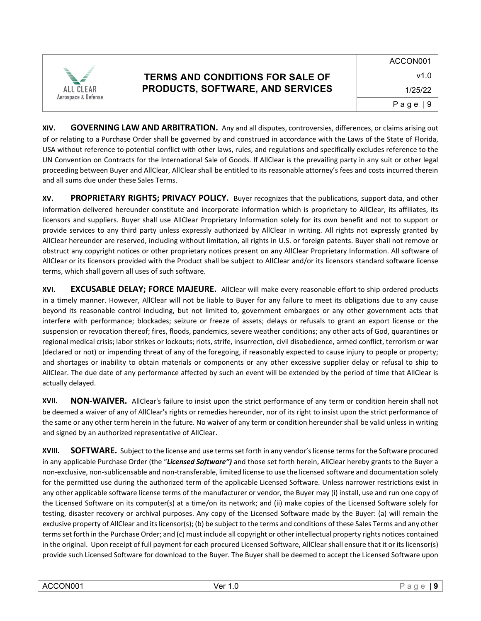

**XIV. GOVERNING LAW AND ARBITRATION.** Any and all disputes, controversies, differences, or claims arising out of or relating to a Purchase Order shall be governed by and construed in accordance with the Laws of the State of Florida, USA without reference to potential conflict with other laws, rules, and regulations and specifically excludes reference to the UN Convention on Contracts for the International Sale of Goods. If AllClear is the prevailing party in any suit or other legal proceeding between Buyer and AllClear, AllClear shall be entitled to its reasonable attorney's fees and costs incurred therein and all sums due under these Sales Terms.

**XV. PROPRIETARY RIGHTS; PRIVACY POLICY.** Buyer recognizes that the publications, support data, and other information delivered hereunder constitute and incorporate information which is proprietary to AllClear, its affiliates, its licensors and suppliers. Buyer shall use AllClear Proprietary Information solely for its own benefit and not to support or provide services to any third party unless expressly authorized by AllClear in writing. All rights not expressly granted by AllClear hereunder are reserved, including without limitation, all rights in U.S. or foreign patents. Buyer shall not remove or obstruct any copyright notices or other proprietary notices present on any AllClear Proprietary Information. All software of AllClear or its licensors provided with the Product shall be subject to AllClear and/or its licensors standard software license terms, which shall govern all uses of such software.

**XVI. EXCUSABLE DELAY; FORCE MAJEURE.** AllClear will make every reasonable effort to ship ordered products in a timely manner. However, AllClear will not be liable to Buyer for any failure to meet its obligations due to any cause beyond its reasonable control including, but not limited to, government embargoes or any other government acts that interfere with performance; blockades; seizure or freeze of assets; delays or refusals to grant an export license or the suspension or revocation thereof; fires, floods, pandemics, severe weather conditions; any other acts of God, quarantines or regional medical crisis; labor strikes or lockouts; riots, strife, insurrection, civil disobedience, armed conflict, terrorism or war (declared or not) or impending threat of any of the foregoing, if reasonably expected to cause injury to people or property; and shortages or inability to obtain materials or components or any other excessive supplier delay or refusal to ship to AllClear. The due date of any performance affected by such an event will be extended by the period of time that AllClear is actually delayed.

**XVII. NON-WAIVER.** AllClear's failure to insist upon the strict performance of any term or condition herein shall not be deemed a waiver of any of AllClear's rights or remedies hereunder, nor of its right to insist upon the strict performance of the same or any other term herein in the future. No waiver of any term or condition hereunder shall be valid unless in writing and signed by an authorized representative of AllClear.

**XVIII. SOFTWARE.** Subject to the license and use terms set forth in any vendor's license terms for the Software procured in any applicable Purchase Order (the "*Licensed Software")* and those set forth herein, AllClear hereby grants to the Buyer a non-exclusive, non-sublicensable and non-transferable, limited license to use the licensed software and documentation solely for the permitted use during the authorized term of the applicable Licensed Software. Unless narrower restrictions exist in any other applicable software license terms of the manufacturer or vendor, the Buyer may (i) install, use and run one copy of the Licensed Software on its computer(s) at a time/on its network; and (ii) make copies of the Licensed Software solely for testing, disaster recovery or archival purposes. Any copy of the Licensed Software made by the Buyer: (a) will remain the exclusive property of AllClear and itslicensor(s); (b) be subject to the terms and conditions of these Sales Terms and any other terms set forth in the Purchase Order; and (c) must include all copyright or other intellectual property rights notices contained in the original. Upon receipt of full payment for each procured Licensed Software, AllClear shall ensure that it or its licensor(s) provide such Licensed Software for download to the Buyer. The Buyer shall be deemed to accept the Licensed Software upon